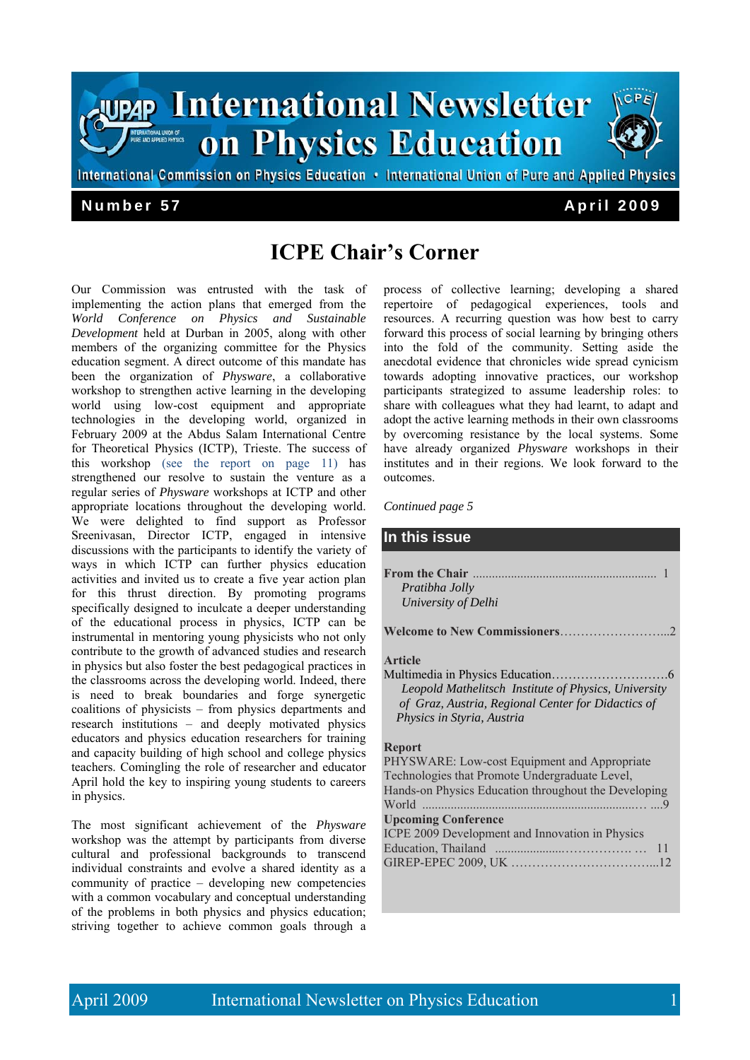

# **ICPE Chair's Corner**

Our Commission was entrusted with the task of implementing the action plans that emerged from the *World Conference on Physics and Sustainable Development* held at Durban in 2005, along with other members of the organizing committee for the Physics education segment. A direct outcome of this mandate has been the organization of *Physware*, a collaborative workshop to strengthen active learning in the developing world using low-cost equipment and appropriate technologies in the developing world, organized in February 2009 at the Abdus Salam International Centre for Theoretical Physics (ICTP), Trieste. The success of this workshop (see the report on page 11) has strengthened our resolve to sustain the venture as a regular series of *Physware* workshops at ICTP and other appropriate locations throughout the developing world. We were delighted to find support as Professor Sreenivasan, Director ICTP, engaged in intensive discussions with the participants to identify the variety of ways in which ICTP can further physics education activities and invited us to create a five year action plan for this thrust direction. By promoting programs specifically designed to inculcate a deeper understanding of the educational process in physics, ICTP can be instrumental in mentoring young physicists who not only contribute to the growth of advanced studies and research in physics but also foster the best pedagogical practices in the classrooms across the developing world. Indeed, there is need to break boundaries and forge synergetic coalitions of physicists – from physics departments and research institutions – and deeply motivated physics educators and physics education researchers for training and capacity building of high school and college physics teachers. Comingling the role of researcher and educator April hold the key to inspiring young students to careers in physics.

The most significant achievement of the *Physware*  workshop was the attempt by participants from diverse cultural and professional backgrounds to transcend individual constraints and evolve a shared identity as a community of practice – developing new competencies with a common vocabulary and conceptual understanding of the problems in both physics and physics education; striving together to achieve common goals through a

process of collective learning; developing a shared repertoire of pedagogical experiences, tools and resources. A recurring question was how best to carry forward this process of social learning by bringing others into the fold of the community. Setting aside the anecdotal evidence that chronicles wide spread cynicism towards adopting innovative practices, our workshop participants strategized to assume leadership roles: to share with colleagues what they had learnt, to adapt and adopt the active learning methods in their own classrooms by overcoming resistance by the local systems. Some have already organized *Physware* workshops in their institutes and in their regions. We look forward to the outcomes.

*Continued page 5* 

#### **In this issue**

| Pratibha Jolly      |  |
|---------------------|--|
| University of Delhi |  |
|                     |  |

#### **Article**

Multimedia in Physics Education……………………….6  *Leopold Mathelitsch Institute of Physics, University of Graz, Austria, Regional Center for Didactics of Physics in Styria, Austria* 

#### **Report**

| PHYSWARE: Low-cost Equipment and Appropriate         |  |  |  |
|------------------------------------------------------|--|--|--|
| Technologies that Promote Undergraduate Level,       |  |  |  |
| Hands-on Physics Education throughout the Developing |  |  |  |
|                                                      |  |  |  |
| <b>Upcoming Conference</b>                           |  |  |  |
| ICPE 2009 Development and Innovation in Physics      |  |  |  |
|                                                      |  |  |  |
|                                                      |  |  |  |
|                                                      |  |  |  |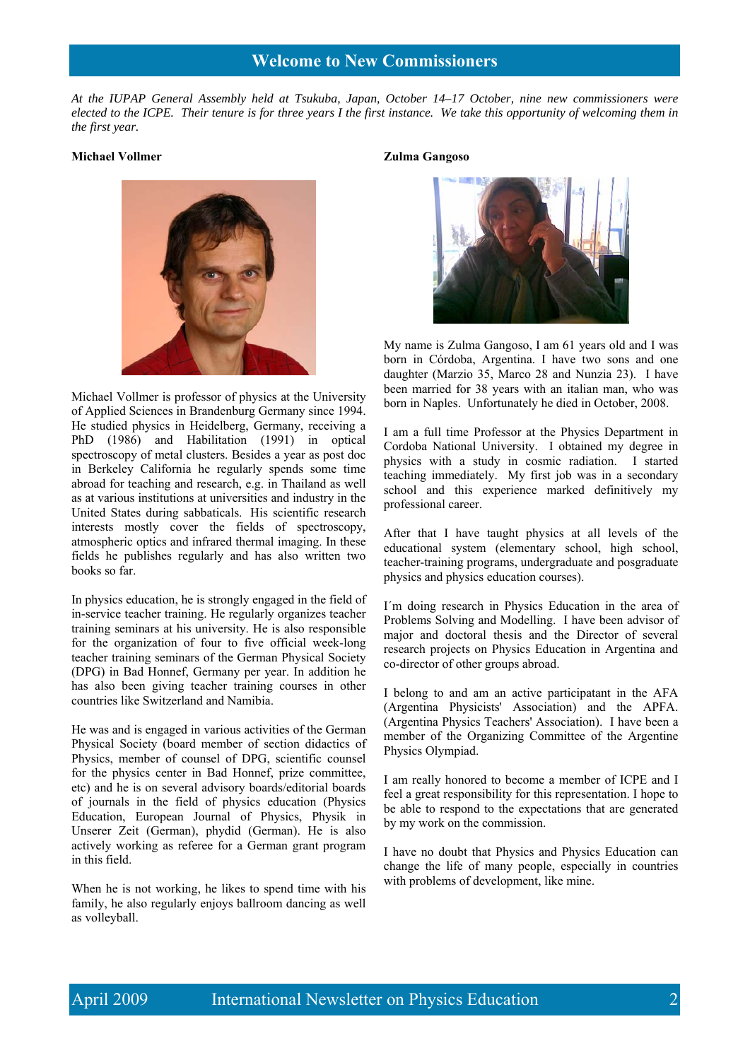*At the IUPAP General Assembly held at Tsukuba, Japan, October 14–17 October, nine new commissioners were elected to the ICPE. Their tenure is for three years I the first instance. We take this opportunity of welcoming them in the first year.* 

#### **Michael Vollmer**



Michael Vollmer is professor of physics at the University of Applied Sciences in Brandenburg Germany since 1994. He studied physics in Heidelberg, Germany, receiving a PhD (1986) and Habilitation (1991) in optical spectroscopy of metal clusters. Besides a year as post doc in Berkeley California he regularly spends some time abroad for teaching and research, e.g. in Thailand as well as at various institutions at universities and industry in the United States during sabbaticals. His scientific research interests mostly cover the fields of spectroscopy, atmospheric optics and infrared thermal imaging. In these fields he publishes regularly and has also written two books so far.

In physics education, he is strongly engaged in the field of in-service teacher training. He regularly organizes teacher training seminars at his university. He is also responsible for the organization of four to five official week-long teacher training seminars of the German Physical Society (DPG) in Bad Honnef, Germany per year. In addition he has also been giving teacher training courses in other countries like Switzerland and Namibia.

He was and is engaged in various activities of the German Physical Society (board member of section didactics of Physics, member of counsel of DPG, scientific counsel for the physics center in Bad Honnef, prize committee, etc) and he is on several advisory boards/editorial boards of journals in the field of physics education (Physics Education, European Journal of Physics, Physik in Unserer Zeit (German), phydid (German). He is also actively working as referee for a German grant program in this field.

When he is not working, he likes to spend time with his family, he also regularly enjoys ballroom dancing as well as volleyball.

#### **Zulma Gangoso**



My name is Zulma Gangoso, I am 61 years old and I was born in Córdoba, Argentina. I have two sons and one daughter (Marzio 35, Marco 28 and Nunzia 23). I have been married for 38 years with an italian man, who was born in Naples. Unfortunately he died in October, 2008.

I am a full time Professor at the Physics Department in Cordoba National University. I obtained my degree in physics with a study in cosmic radiation. I started teaching immediately. My first job was in a secondary school and this experience marked definitively my professional career.

After that I have taught physics at all levels of the educational system (elementary school, high school, teacher-training programs, undergraduate and posgraduate physics and physics education courses).

I´m doing research in Physics Education in the area of Problems Solving and Modelling. I have been advisor of major and doctoral thesis and the Director of several research projects on Physics Education in Argentina and co-director of other groups abroad.

I belong to and am an active participatant in the AFA (Argentina Physicists' Association) and the APFA. (Argentina Physics Teachers' Association). I have been a member of the Organizing Committee of the Argentine Physics Olympiad.

I am really honored to become a member of ICPE and I feel a great responsibility for this representation. I hope to be able to respond to the expectations that are generated by my work on the commission.

I have no doubt that Physics and Physics Education can change the life of many people, especially in countries with problems of development, like mine.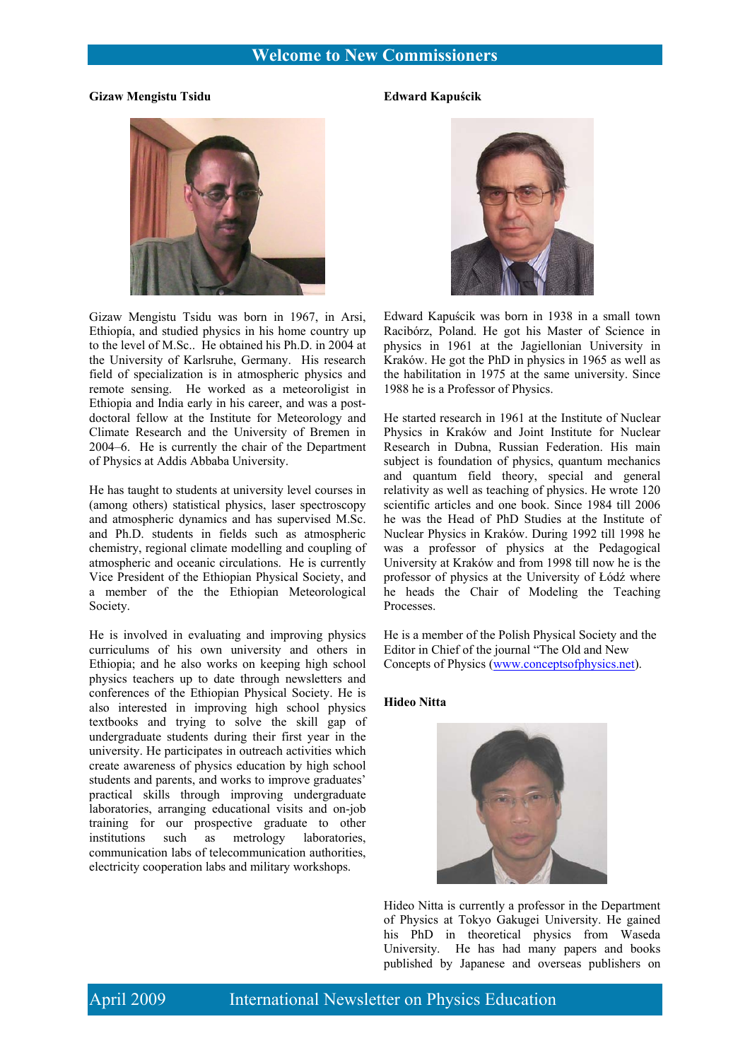## **Welcome to New Commissioners**

#### **Gizaw Mengistu Tsidu**

#### **Edward Kapuścik**



Gizaw Mengistu Tsidu was born in 1967, in Arsi, Ethiopía, and studied physics in his home country up to the level of M.Sc.. He obtained his Ph.D. in 2004 at the University of Karlsruhe, Germany. His research field of specialization is in atmospheric physics and remote sensing. He worked as a meteoroligist in Ethiopia and India early in his career, and was a postdoctoral fellow at the Institute for Meteorology and Climate Research and the University of Bremen in 2004–6. He is currently the chair of the Department of Physics at Addis Abbaba University.

He has taught to students at university level courses in (among others) statistical physics, laser spectroscopy and atmospheric dynamics and has supervised M.Sc. and Ph.D. students in fields such as atmospheric chemistry, regional climate modelling and coupling of atmospheric and oceanic circulations. He is currently Vice President of the Ethiopian Physical Society, and a member of the the Ethiopian Meteorological Society.

He is involved in evaluating and improving physics curriculums of his own university and others in Ethiopia; and he also works on keeping high school physics teachers up to date through newsletters and conferences of the Ethiopian Physical Society. He is also interested in improving high school physics textbooks and trying to solve the skill gap of undergraduate students during their first year in the university. He participates in outreach activities which create awareness of physics education by high school students and parents, and works to improve graduates' practical skills through improving undergraduate laboratories, arranging educational visits and on-job training for our prospective graduate to other institutions such as metrology laboratories, communication labs of telecommunication authorities, electricity cooperation labs and military workshops.



Edward Kapuścik was born in 1938 in a small town Racibórz, Poland. He got his Master of Science in physics in 1961 at the Jagiellonian University in Kraków. He got the PhD in physics in 1965 as well as the habilitation in 1975 at the same university. Since 1988 he is a Professor of Physics.

He started research in 1961 at the Institute of Nuclear Physics in Kraków and Joint Institute for Nuclear Research in Dubna, Russian Federation. His main subject is foundation of physics, quantum mechanics and quantum field theory, special and general relativity as well as teaching of physics. He wrote 120 scientific articles and one book. Since 1984 till 2006 he was the Head of PhD Studies at the Institute of Nuclear Physics in Kraków. During 1992 till 1998 he was a professor of physics at the Pedagogical University at Kraków and from 1998 till now he is the professor of physics at the University of Łódź where he heads the Chair of Modeling the Teaching Processes.

He is a member of the Polish Physical Society and the Editor in Chief of the journal "The Old and New Concepts of Physics (www.conceptsofphysics.net).

#### **Hideo Nitta**



Hideo Nitta is currently a professor in the Department of Physics at Tokyo Gakugei University. He gained his PhD in theoretical physics from Waseda University. He has had many papers and books published by Japanese and overseas publishers on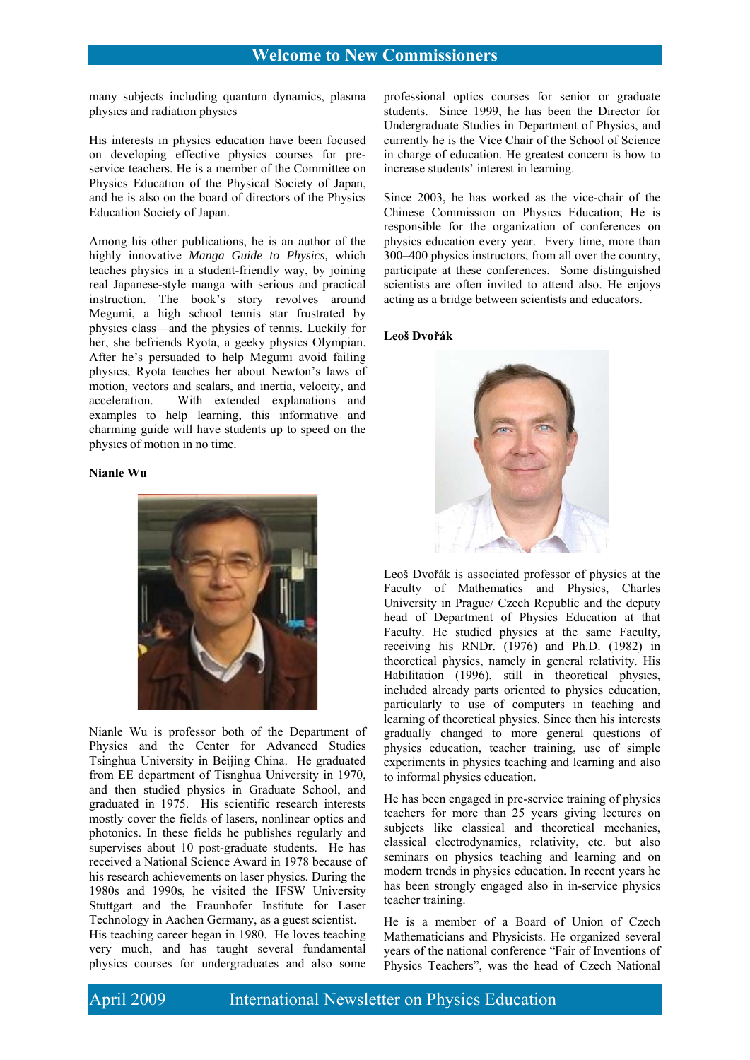many subjects including quantum dynamics, plasma physics and radiation physics

His interests in physics education have been focused on developing effective physics courses for preservice teachers. He is a member of the Committee on Physics Education of the Physical Society of Japan, and he is also on the board of directors of the Physics Education Society of Japan.

Among his other publications, he is an author of the highly innovative *Manga Guide to Physics,* which teaches physics in a student-friendly way, by joining real Japanese-style manga with serious and practical instruction. The book's story revolves around Megumi, a high school tennis star frustrated by physics class—and the physics of tennis. Luckily for her, she befriends Ryota, a geeky physics Olympian. After he's persuaded to help Megumi avoid failing physics, Ryota teaches her about Newton's laws of motion, vectors and scalars, and inertia, velocity, and acceleration. With extended explanations and examples to help learning, this informative and charming guide will have students up to speed on the physics of motion in no time.

#### **Nianle Wu**



Nianle Wu is professor both of the Department of Physics and the Center for Advanced Studies Tsinghua University in Beijing China. He graduated from EE department of Tisnghua University in 1970, and then studied physics in Graduate School, and graduated in 1975. His scientific research interests mostly cover the fields of lasers, nonlinear optics and photonics. In these fields he publishes regularly and supervises about 10 post-graduate students. He has received a National Science Award in 1978 because of his research achievements on laser physics. During the 1980s and 1990s, he visited the IFSW University Stuttgart and the Fraunhofer Institute for Laser Technology in Aachen Germany, as a guest scientist.

His teaching career began in 1980. He loves teaching very much, and has taught several fundamental physics courses for undergraduates and also some

professional optics courses for senior or graduate students. Since 1999, he has been the Director for Undergraduate Studies in Department of Physics, and currently he is the Vice Chair of the School of Science in charge of education. He greatest concern is how to increase students' interest in learning.

Since 2003, he has worked as the vice-chair of the Chinese Commission on Physics Education; He is responsible for the organization of conferences on physics education every year. Every time, more than 300–400 physics instructors, from all over the country, participate at these conferences. Some distinguished scientists are often invited to attend also. He enjoys acting as a bridge between scientists and educators.

#### **Leoš Dvořák**



Leoš Dvořák is associated professor of physics at the Faculty of Mathematics and Physics, Charles University in Prague/ Czech Republic and the deputy head of Department of Physics Education at that Faculty. He studied physics at the same Faculty, receiving his RNDr. (1976) and Ph.D. (1982) in theoretical physics, namely in general relativity. His Habilitation (1996), still in theoretical physics, included already parts oriented to physics education, particularly to use of computers in teaching and learning of theoretical physics. Since then his interests gradually changed to more general questions of physics education, teacher training, use of simple experiments in physics teaching and learning and also to informal physics education.

He has been engaged in pre-service training of physics teachers for more than 25 years giving lectures on subjects like classical and theoretical mechanics, classical electrodynamics, relativity, etc. but also seminars on physics teaching and learning and on modern trends in physics education. In recent years he has been strongly engaged also in in-service physics teacher training.

He is a member of a Board of Union of Czech Mathematicians and Physicists. He organized several years of the national conference "Fair of Inventions of Physics Teachers", was the head of Czech National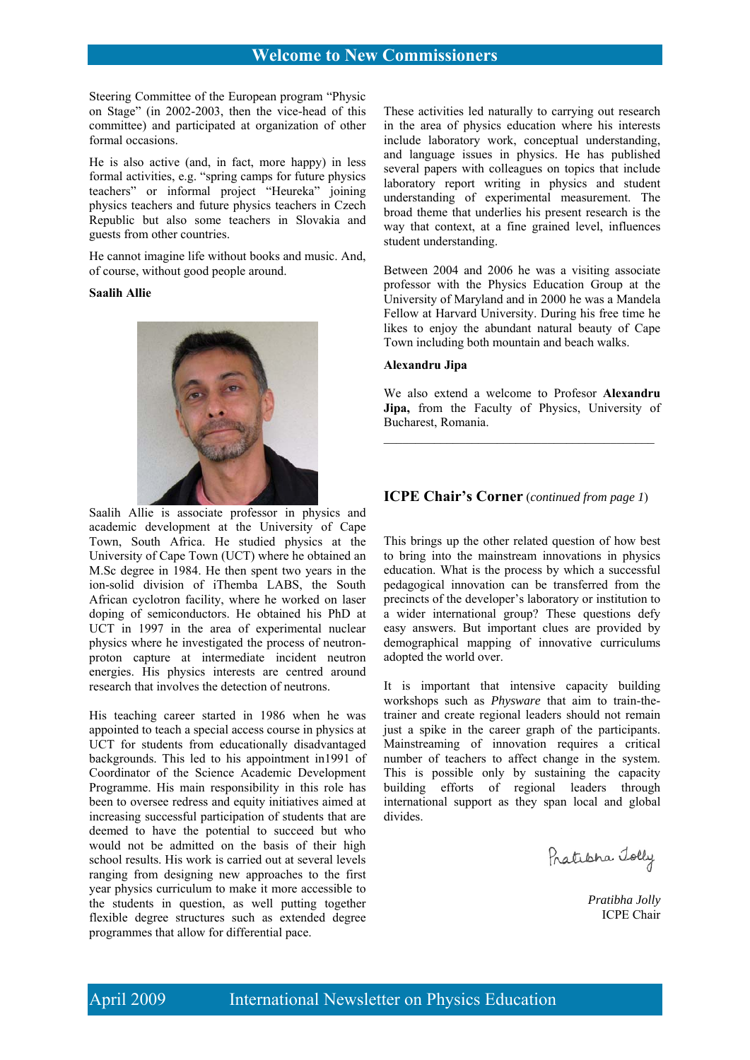Steering Committee of the European program "Physic on Stage" (in 2002-2003, then the vice-head of this committee) and participated at organization of other formal occasions.

He is also active (and, in fact, more happy) in less formal activities, e.g. "spring camps for future physics teachers" or informal project "Heureka" joining physics teachers and future physics teachers in Czech Republic but also some teachers in Slovakia and guests from other countries.

He cannot imagine life without books and music. And, of course, without good people around.

#### **Saalih Allie**



Saalih Allie is associate professor in physics and academic development at the University of Cape Town, South Africa. He studied physics at the University of Cape Town (UCT) where he obtained an M.Sc degree in 1984. He then spent two years in the ion-solid division of iThemba LABS, the South African cyclotron facility, where he worked on laser doping of semiconductors. He obtained his PhD at UCT in 1997 in the area of experimental nuclear physics where he investigated the process of neutronproton capture at intermediate incident neutron energies. His physics interests are centred around research that involves the detection of neutrons.

His teaching career started in 1986 when he was appointed to teach a special access course in physics at UCT for students from educationally disadvantaged backgrounds. This led to his appointment in1991 of Coordinator of the Science Academic Development Programme. His main responsibility in this role has been to oversee redress and equity initiatives aimed at increasing successful participation of students that are deemed to have the potential to succeed but who would not be admitted on the basis of their high school results. His work is carried out at several levels ranging from designing new approaches to the first year physics curriculum to make it more accessible to the students in question, as well putting together flexible degree structures such as extended degree programmes that allow for differential pace.

These activities led naturally to carrying out research in the area of physics education where his interests include laboratory work, conceptual understanding, and language issues in physics. He has published several papers with colleagues on topics that include laboratory report writing in physics and student understanding of experimental measurement. The broad theme that underlies his present research is the way that context, at a fine grained level, influences student understanding.

Between 2004 and 2006 he was a visiting associate professor with the Physics Education Group at the University of Maryland and in 2000 he was a Mandela Fellow at Harvard University. During his free time he likes to enjoy the abundant natural beauty of Cape Town including both mountain and beach walks.

#### **Alexandru Jipa**

We also extend a welcome to Profesor **Alexandru**  Jipa, from the Faculty of Physics, University of Bucharest, Romania.

\_\_\_\_\_\_\_\_\_\_\_\_\_\_\_\_\_\_\_\_\_\_\_\_\_\_\_\_\_\_\_\_\_\_\_\_\_\_\_\_\_\_\_

#### **ICPE Chair's Corner** (*continued from page 1*)

This brings up the other related question of how best to bring into the mainstream innovations in physics education. What is the process by which a successful pedagogical innovation can be transferred from the precincts of the developer's laboratory or institution to a wider international group? These questions defy easy answers. But important clues are provided by demographical mapping of innovative curriculums adopted the world over.

It is important that intensive capacity building workshops such as *Physware* that aim to train-thetrainer and create regional leaders should not remain just a spike in the career graph of the participants. Mainstreaming of innovation requires a critical number of teachers to affect change in the system. This is possible only by sustaining the capacity building efforts of regional leaders through international support as they span local and global divides.

Pratisha Tolly

*Pratibha Jolly*  ICPE Chair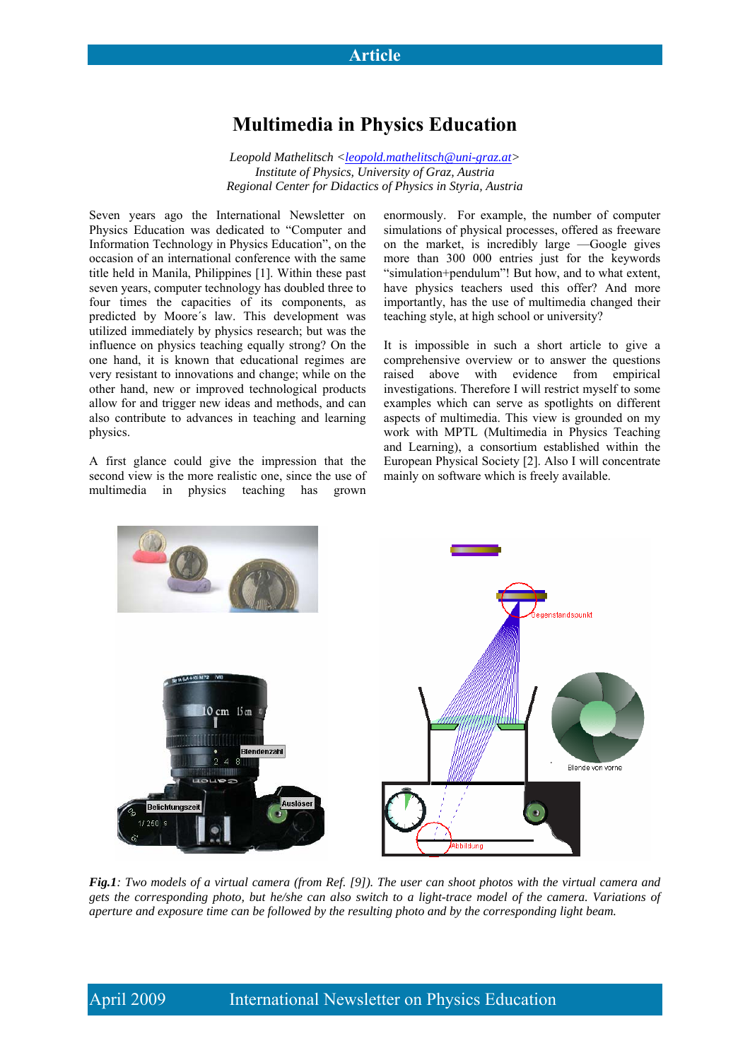## **Multimedia in Physics Education**

*Leopold Mathelitsch <leopold.mathelitsch@uni-graz.at> Institute of Physics, University of Graz, Austria Regional Center for Didactics of Physics in Styria, Austria* 

Seven years ago the International Newsletter on Physics Education was dedicated to "Computer and Information Technology in Physics Education", on the occasion of an international conference with the same title held in Manila, Philippines [1]. Within these past seven years, computer technology has doubled three to four times the capacities of its components, as predicted by Moore´s law. This development was utilized immediately by physics research; but was the influence on physics teaching equally strong? On the one hand, it is known that educational regimes are very resistant to innovations and change; while on the other hand, new or improved technological products allow for and trigger new ideas and methods, and can also contribute to advances in teaching and learning physics.

A first glance could give the impression that the second view is the more realistic one, since the use of multimedia in physics teaching has grown

enormously. For example, the number of computer simulations of physical processes, offered as freeware on the market, is incredibly large —Google gives more than 300 000 entries just for the keywords "simulation+pendulum"! But how, and to what extent, have physics teachers used this offer? And more importantly, has the use of multimedia changed their teaching style, at high school or university?

It is impossible in such a short article to give a comprehensive overview or to answer the questions raised above with evidence from empirical investigations. Therefore I will restrict myself to some examples which can serve as spotlights on different aspects of multimedia. This view is grounded on my work with MPTL (Multimedia in Physics Teaching and Learning), a consortium established within the European Physical Society [2]. Also I will concentrate mainly on software which is freely available.



*Fig.1: Two models of a virtual camera (from Ref. [9]). The user can shoot photos with the virtual camera and gets the corresponding photo, but he/she can also switch to a light-trace model of the camera. Variations of aperture and exposure time can be followed by the resulting photo and by the corresponding light beam.*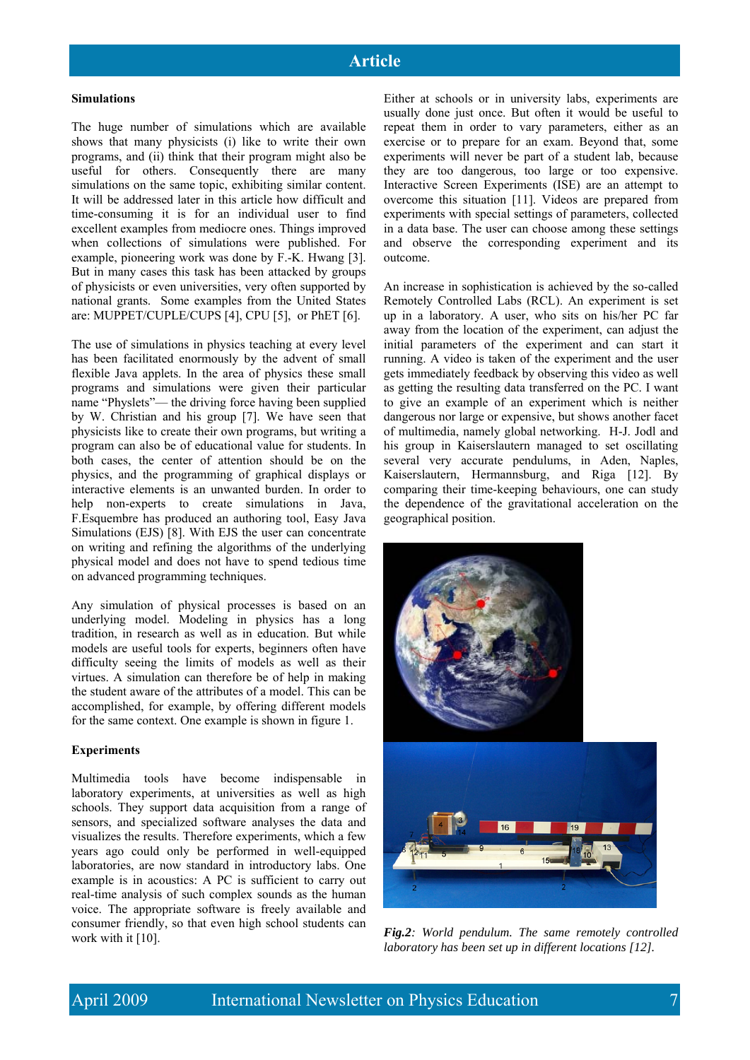#### **Simulations**

The huge number of simulations which are available shows that many physicists (i) like to write their own programs, and (ii) think that their program might also be useful for others. Consequently there are many simulations on the same topic, exhibiting similar content. It will be addressed later in this article how difficult and time-consuming it is for an individual user to find excellent examples from mediocre ones. Things improved when collections of simulations were published. For example, pioneering work was done by F.-K. Hwang [3]. But in many cases this task has been attacked by groups of physicists or even universities, very often supported by national grants. Some examples from the United States are: MUPPET/CUPLE/CUPS [4], CPU [5], or PhET [6].

The use of simulations in physics teaching at every level has been facilitated enormously by the advent of small flexible Java applets. In the area of physics these small programs and simulations were given their particular name "Physlets"— the driving force having been supplied by W. Christian and his group [7]. We have seen that physicists like to create their own programs, but writing a program can also be of educational value for students. In both cases, the center of attention should be on the physics, and the programming of graphical displays or interactive elements is an unwanted burden. In order to help non-experts to create simulations in Java, F.Esquembre has produced an authoring tool, Easy Java Simulations (EJS) [8]. With EJS the user can concentrate on writing and refining the algorithms of the underlying physical model and does not have to spend tedious time on advanced programming techniques.

Any simulation of physical processes is based on an underlying model. Modeling in physics has a long tradition, in research as well as in education. But while models are useful tools for experts, beginners often have difficulty seeing the limits of models as well as their virtues. A simulation can therefore be of help in making the student aware of the attributes of a model. This can be accomplished, for example, by offering different models for the same context. One example is shown in figure 1.

#### **Experiments**

Multimedia tools have become indispensable in laboratory experiments, at universities as well as high schools. They support data acquisition from a range of sensors, and specialized software analyses the data and visualizes the results. Therefore experiments, which a few years ago could only be performed in well-equipped laboratories, are now standard in introductory labs. One example is in acoustics: A PC is sufficient to carry out real-time analysis of such complex sounds as the human voice. The appropriate software is freely available and consumer friendly, so that even high school students can work with it [10].

Either at schools or in university labs, experiments are usually done just once. But often it would be useful to repeat them in order to vary parameters, either as an exercise or to prepare for an exam. Beyond that, some experiments will never be part of a student lab, because they are too dangerous, too large or too expensive. Interactive Screen Experiments (ISE) are an attempt to overcome this situation [11]. Videos are prepared from experiments with special settings of parameters, collected in a data base. The user can choose among these settings and observe the corresponding experiment and its outcome.

An increase in sophistication is achieved by the so-called Remotely Controlled Labs (RCL). An experiment is set up in a laboratory. A user, who sits on his/her PC far away from the location of the experiment, can adjust the initial parameters of the experiment and can start it running. A video is taken of the experiment and the user gets immediately feedback by observing this video as well as getting the resulting data transferred on the PC. I want to give an example of an experiment which is neither dangerous nor large or expensive, but shows another facet of multimedia, namely global networking. H-J. Jodl and his group in Kaiserslautern managed to set oscillating several very accurate pendulums, in Aden, Naples, Kaiserslautern, Hermannsburg, and Riga [12]. By comparing their time-keeping behaviours, one can study the dependence of the gravitational acceleration on the geographical position.



*Fig.2: World pendulum. The same remotely controlled laboratory has been set up in different locations [12].*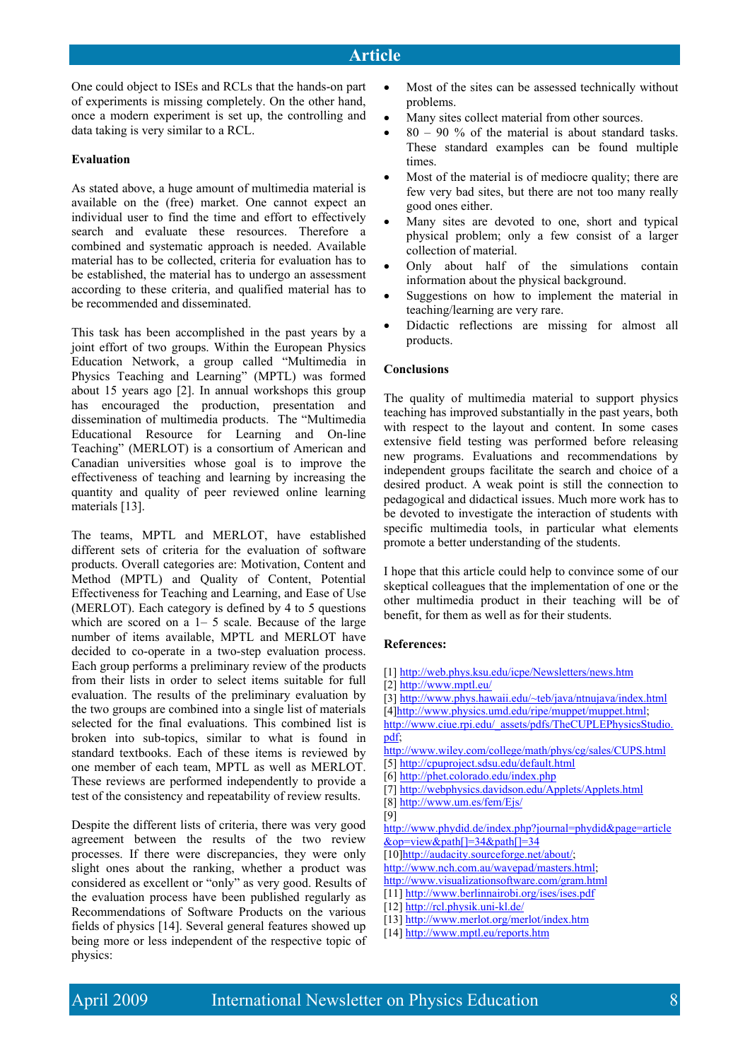One could object to ISEs and RCLs that the hands-on part of experiments is missing completely. On the other hand, once a modern experiment is set up, the controlling and data taking is very similar to a RCL.

#### **Evaluation**

As stated above, a huge amount of multimedia material is available on the (free) market. One cannot expect an individual user to find the time and effort to effectively search and evaluate these resources. Therefore a combined and systematic approach is needed. Available material has to be collected, criteria for evaluation has to be established, the material has to undergo an assessment according to these criteria, and qualified material has to be recommended and disseminated.

This task has been accomplished in the past years by a joint effort of two groups. Within the European Physics Education Network, a group called "Multimedia in Physics Teaching and Learning" (MPTL) was formed about 15 years ago [2]. In annual workshops this group has encouraged the production, presentation and dissemination of multimedia products. The "Multimedia Educational Resource for Learning and On-line Teaching" (MERLOT) is a consortium of American and Canadian universities whose goal is to improve the effectiveness of teaching and learning by increasing the quantity and quality of peer reviewed online learning materials [13].

The teams, MPTL and MERLOT, have established different sets of criteria for the evaluation of software products. Overall categories are: Motivation, Content and Method (MPTL) and Quality of Content, Potential Effectiveness for Teaching and Learning, and Ease of Use (MERLOT). Each category is defined by 4 to 5 questions which are scored on a 1– 5 scale. Because of the large number of items available, MPTL and MERLOT have decided to co-operate in a two-step evaluation process. Each group performs a preliminary review of the products from their lists in order to select items suitable for full evaluation. The results of the preliminary evaluation by the two groups are combined into a single list of materials selected for the final evaluations. This combined list is broken into sub-topics, similar to what is found in standard textbooks. Each of these items is reviewed by one member of each team, MPTL as well as MERLOT. These reviews are performed independently to provide a test of the consistency and repeatability of review results.

Despite the different lists of criteria, there was very good agreement between the results of the two review processes. If there were discrepancies, they were only slight ones about the ranking, whether a product was considered as excellent or "only" as very good. Results of the evaluation process have been published regularly as Recommendations of Software Products on the various fields of physics [14]. Several general features showed up being more or less independent of the respective topic of physics:

- Most of the sites can be assessed technically without problems.
- Many sites collect material from other sources.
- $\bullet$  80 90 % of the material is about standard tasks. These standard examples can be found multiple times.
- Most of the material is of mediocre quality; there are few very bad sites, but there are not too many really good ones either.
- Many sites are devoted to one, short and typical physical problem; only a few consist of a larger collection of material.
- Only about half of the simulations contain information about the physical background.
- Suggestions on how to implement the material in teaching/learning are very rare.
- Didactic reflections are missing for almost all products.

#### **Conclusions**

The quality of multimedia material to support physics teaching has improved substantially in the past years, both with respect to the layout and content. In some cases extensive field testing was performed before releasing new programs. Evaluations and recommendations by independent groups facilitate the search and choice of a desired product. A weak point is still the connection to pedagogical and didactical issues. Much more work has to be devoted to investigate the interaction of students with specific multimedia tools, in particular what elements promote a better understanding of the students.

I hope that this article could help to convince some of our skeptical colleagues that the implementation of one or the other multimedia product in their teaching will be of benefit, for them as well as for their students.

#### **References:**

- [1] http://web.phys.ksu.edu/icpe/Newsletters/news.htm
- [2] http://www.mptl.eu/
- [3] http://www.phys.hawaii.edu/~teb/java/ntnujava/index.html
- [4]http://www.physics.umd.edu/ripe/muppet/muppet.html;
- http://www.ciue.rpi.edu/\_assets/pdfs/TheCUPLEPhysicsStudio. pdf;
- http://www.wiley.com/college/math/phys/cg/sales/CUPS.html
- [5] http://cpuproject.sdsu.edu/default.html
- [6] http://phet.colorado.edu/index.php
- [7] http://webphysics.davidson.edu/Applets/Applets.html
- [8] http://www.um.es/fem/Ejs/
- [9]

http://www.phydid.de/index.php?journal=phydid&page=article &op=view&path[]=34&path[]=34

[10]http://audacity.sourceforge.net/about/;

- http://www.nch.com.au/wavepad/masters.html;
- http://www.visualizationsoftware.com/gram.html

- [12] http://rcl.physik.uni-kl.de/
- [13] http://www.merlot.org/merlot/index.htm
- [14] http://www.mptl.eu/reports.htm

<sup>[11]</sup> http://www.berlinnairobi.org/ises/ises.pdf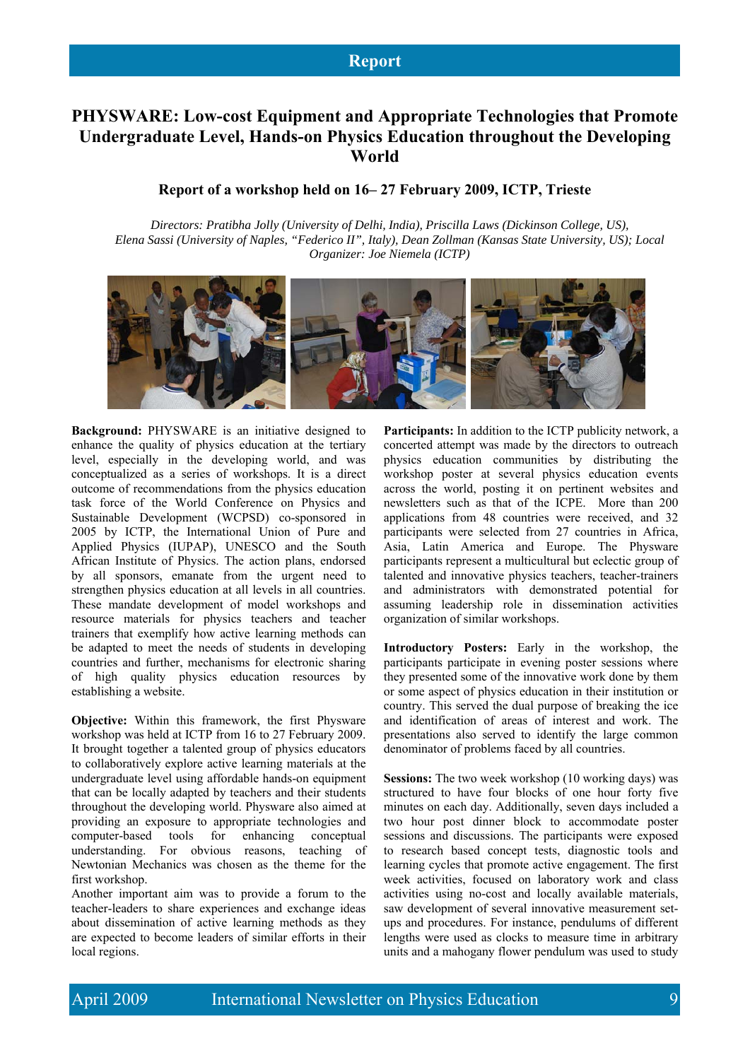## **PHYSWARE: Low-cost Equipment and Appropriate Technologies that Promote Undergraduate Level, Hands-on Physics Education throughout the Developing World**

### **Report of a workshop held on 16– 27 February 2009, ICTP, Trieste**

*Directors: Pratibha Jolly (University of Delhi, India), Priscilla Laws (Dickinson College, US), Elena Sassi (University of Naples, "Federico II", Italy), Dean Zollman (Kansas State University, US); Local Organizer: Joe Niemela (ICTP)* 



**Background:** PHYSWARE is an initiative designed to enhance the quality of physics education at the tertiary level, especially in the developing world, and was conceptualized as a series of workshops. It is a direct outcome of recommendations from the physics education task force of the World Conference on Physics and Sustainable Development (WCPSD) co-sponsored in 2005 by ICTP, the International Union of Pure and Applied Physics (IUPAP), UNESCO and the South African Institute of Physics. The action plans, endorsed by all sponsors, emanate from the urgent need to strengthen physics education at all levels in all countries. These mandate development of model workshops and resource materials for physics teachers and teacher trainers that exemplify how active learning methods can be adapted to meet the needs of students in developing countries and further, mechanisms for electronic sharing of high quality physics education resources by establishing a website.

**Objective:** Within this framework, the first Physware workshop was held at ICTP from 16 to 27 February 2009. It brought together a talented group of physics educators to collaboratively explore active learning materials at the undergraduate level using affordable hands-on equipment that can be locally adapted by teachers and their students throughout the developing world. Physware also aimed at providing an exposure to appropriate technologies and computer-based tools for enhancing conceptual understanding. For obvious reasons, teaching of Newtonian Mechanics was chosen as the theme for the first workshop.

Another important aim was to provide a forum to the teacher-leaders to share experiences and exchange ideas about dissemination of active learning methods as they are expected to become leaders of similar efforts in their local regions.

**Participants:** In addition to the ICTP publicity network, a concerted attempt was made by the directors to outreach physics education communities by distributing the workshop poster at several physics education events across the world, posting it on pertinent websites and newsletters such as that of the ICPE. More than 200 applications from 48 countries were received, and 32 participants were selected from 27 countries in Africa, Asia, Latin America and Europe. The Physware participants represent a multicultural but eclectic group of talented and innovative physics teachers, teacher-trainers and administrators with demonstrated potential for assuming leadership role in dissemination activities organization of similar workshops.

**Introductory Posters:** Early in the workshop, the participants participate in evening poster sessions where they presented some of the innovative work done by them or some aspect of physics education in their institution or country. This served the dual purpose of breaking the ice and identification of areas of interest and work. The presentations also served to identify the large common denominator of problems faced by all countries.

**Sessions:** The two week workshop (10 working days) was structured to have four blocks of one hour forty five minutes on each day. Additionally, seven days included a two hour post dinner block to accommodate poster sessions and discussions. The participants were exposed to research based concept tests, diagnostic tools and learning cycles that promote active engagement. The first week activities, focused on laboratory work and class activities using no-cost and locally available materials, saw development of several innovative measurement setups and procedures. For instance, pendulums of different lengths were used as clocks to measure time in arbitrary units and a mahogany flower pendulum was used to study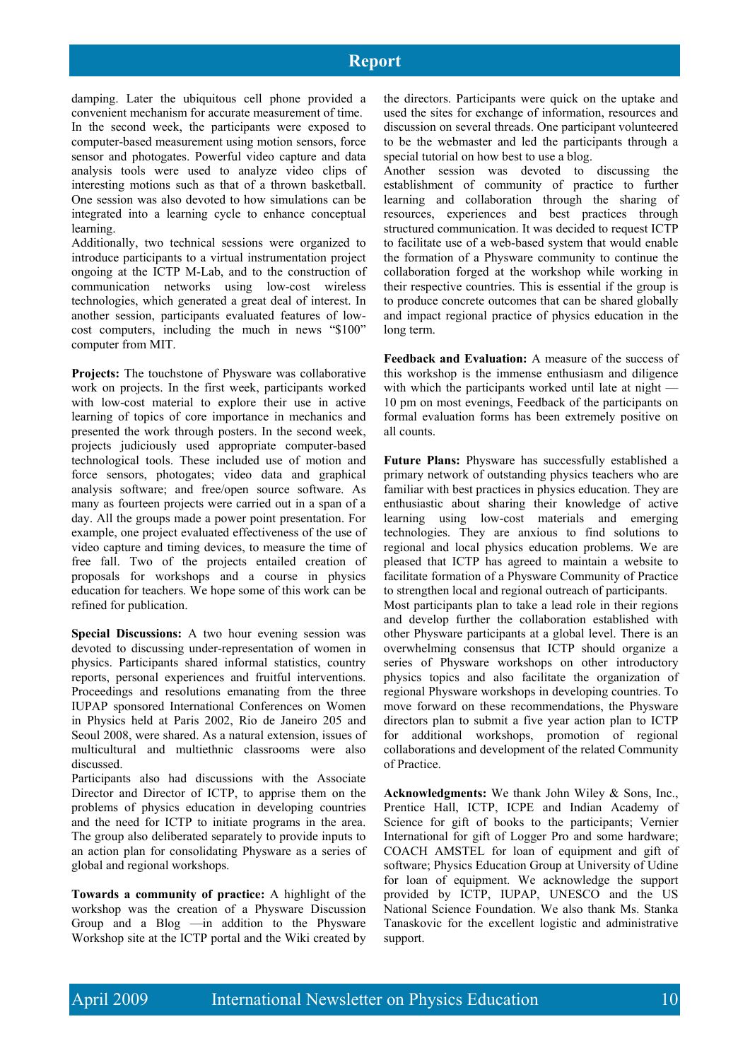## **Report**

damping. Later the ubiquitous cell phone provided a convenient mechanism for accurate measurement of time.

In the second week, the participants were exposed to computer-based measurement using motion sensors, force sensor and photogates. Powerful video capture and data analysis tools were used to analyze video clips of interesting motions such as that of a thrown basketball. One session was also devoted to how simulations can be integrated into a learning cycle to enhance conceptual learning.

Additionally, two technical sessions were organized to introduce participants to a virtual instrumentation project ongoing at the ICTP M-Lab, and to the construction of communication networks using low-cost wireless technologies, which generated a great deal of interest. In another session, participants evaluated features of lowcost computers, including the much in news "\$100" computer from MIT.

**Projects:** The touchstone of Physware was collaborative work on projects. In the first week, participants worked with low-cost material to explore their use in active learning of topics of core importance in mechanics and presented the work through posters. In the second week, projects judiciously used appropriate computer-based technological tools. These included use of motion and force sensors, photogates; video data and graphical analysis software; and free/open source software. As many as fourteen projects were carried out in a span of a day. All the groups made a power point presentation. For example, one project evaluated effectiveness of the use of video capture and timing devices, to measure the time of free fall. Two of the projects entailed creation of proposals for workshops and a course in physics education for teachers. We hope some of this work can be refined for publication.

**Special Discussions:** A two hour evening session was devoted to discussing under-representation of women in physics. Participants shared informal statistics, country reports, personal experiences and fruitful interventions. Proceedings and resolutions emanating from the three IUPAP sponsored International Conferences on Women in Physics held at Paris 2002, Rio de Janeiro 205 and Seoul 2008, were shared. As a natural extension, issues of multicultural and multiethnic classrooms were also discussed.

Participants also had discussions with the Associate Director and Director of ICTP, to apprise them on the problems of physics education in developing countries and the need for ICTP to initiate programs in the area. The group also deliberated separately to provide inputs to an action plan for consolidating Physware as a series of global and regional workshops.

**Towards a community of practice:** A highlight of the workshop was the creation of a Physware Discussion Group and a Blog —in addition to the Physware Workshop site at the ICTP portal and the Wiki created by

the directors. Participants were quick on the uptake and used the sites for exchange of information, resources and discussion on several threads. One participant volunteered to be the webmaster and led the participants through a special tutorial on how best to use a blog.

Another session was devoted to discussing the establishment of community of practice to further learning and collaboration through the sharing of resources, experiences and best practices through structured communication. It was decided to request ICTP to facilitate use of a web-based system that would enable the formation of a Physware community to continue the collaboration forged at the workshop while working in their respective countries. This is essential if the group is to produce concrete outcomes that can be shared globally and impact regional practice of physics education in the long term.

**Feedback and Evaluation:** A measure of the success of this workshop is the immense enthusiasm and diligence with which the participants worked until late at night — 10 pm on most evenings, Feedback of the participants on formal evaluation forms has been extremely positive on all counts.

**Future Plans:** Physware has successfully established a primary network of outstanding physics teachers who are familiar with best practices in physics education. They are enthusiastic about sharing their knowledge of active learning using low-cost materials and emerging technologies. They are anxious to find solutions to regional and local physics education problems. We are pleased that ICTP has agreed to maintain a website to facilitate formation of a Physware Community of Practice to strengthen local and regional outreach of participants.

Most participants plan to take a lead role in their regions and develop further the collaboration established with other Physware participants at a global level. There is an overwhelming consensus that ICTP should organize a series of Physware workshops on other introductory physics topics and also facilitate the organization of regional Physware workshops in developing countries. To move forward on these recommendations, the Physware directors plan to submit a five year action plan to ICTP for additional workshops, promotion of regional collaborations and development of the related Community of Practice.

**Acknowledgments:** We thank John Wiley & Sons, Inc., Prentice Hall, ICTP, ICPE and Indian Academy of Science for gift of books to the participants; Vernier International for gift of Logger Pro and some hardware; COACH AMSTEL for loan of equipment and gift of software; Physics Education Group at University of Udine for loan of equipment. We acknowledge the support provided by ICTP, IUPAP, UNESCO and the US National Science Foundation. We also thank Ms. Stanka Tanaskovic for the excellent logistic and administrative support.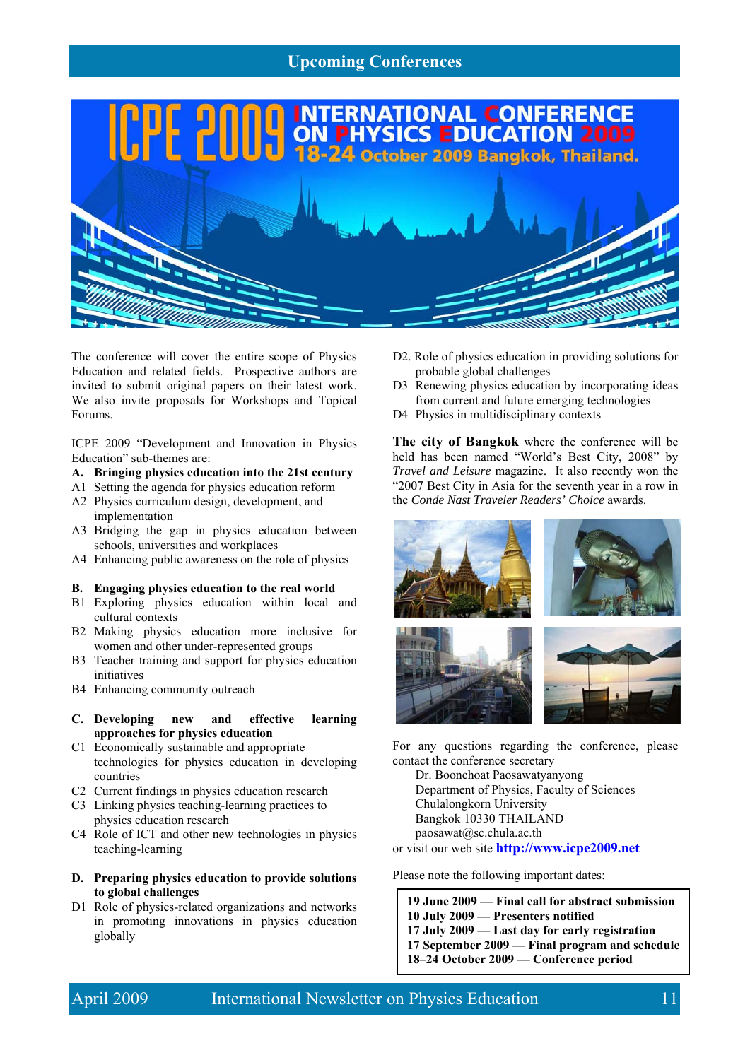## **Upcoming Conferences**



The conference will cover the entire scope of Physics Education and related fields. Prospective authors are invited to submit original papers on their latest work. We also invite proposals for Workshops and Topical Forums.

ICPE 2009 "Development and Innovation in Physics Education" sub-themes are:

#### **A. Bringing physics education into the 21st century**

- A1 Setting the agenda for physics education reform A2 Physics curriculum design, development, and
- implementation
- A3 Bridging the gap in physics education between schools, universities and workplaces
- A4 Enhancing public awareness on the role of physics

#### **B. Engaging physics education to the real world**

- B1 Exploring physics education within local and cultural contexts
- B2 Making physics education more inclusive for women and other under-represented groups
- B3 Teacher training and support for physics education initiatives
- B4 Enhancing community outreach
- **C. Developing new and effective learning approaches for physics education**
- C1 Economically sustainable and appropriate technologies for physics education in developing countries
- C2 Current findings in physics education research
- C3 Linking physics teaching-learning practices to physics education research
- C4 Role of ICT and other new technologies in physics teaching-learning
- **D. Preparing physics education to provide solutions to global challenges**
- D1 Role of physics-related organizations and networks in promoting innovations in physics education globally
- D<sub>2</sub>. Role of physics education in providing solutions for probable global challenges
- D3 Renewing physics education by incorporating ideas from current and future emerging technologies
- D4 Physics in multidisciplinary contexts

**The city of Bangkok** where the conference will be held has been named "World's Best City, 2008" by *Travel and Leisure* magazine. It also recently won the "2007 Best City in Asia for the seventh year in a row in the *Conde Nast Traveler Readers' Choice* awards.



For any questions regarding the conference, please contact the conference secretary

Dr. Boonchoat Paosawatyanyong Department of Physics, Faculty of Sciences Chulalongkorn University Bangkok 10330 THAILAND paosawat@sc.chula.ac.th

or visit our web site **http://www.icpe2009.net** 

Please note the following important dates:

**19 June 2009 — Final call for abstract submission 10 July 2009 — Presenters notified 17 July 2009 — Last day for early registration 17 September 2009 — Final program and schedule 18–24 October 2009 — Conference period**